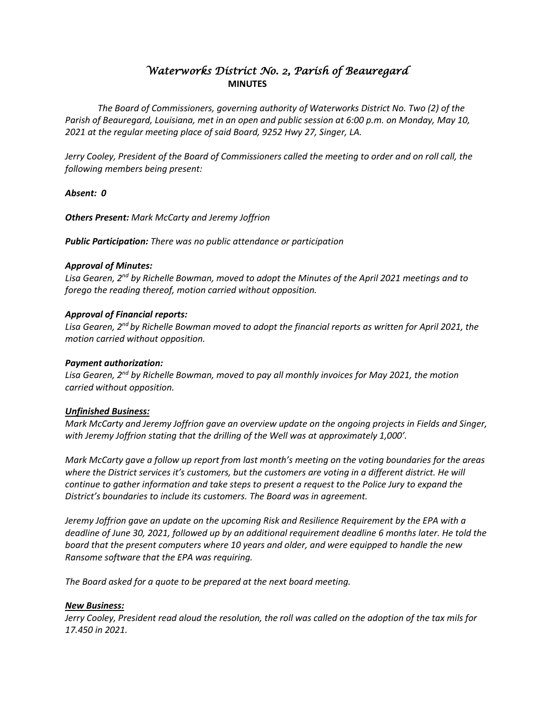# *Waterworks District No. 2, Parish of Beauregard*  **MINUTES**

*The Board of Commissioners, governing authority of Waterworks District No. Two (2) of the Parish of Beauregard, Louisiana, met in an open and public session at 6:00 p.m. on Monday, May 10, 2021 at the regular meeting place of said Board, 9252 Hwy 27, Singer, LA.*

*Jerry Cooley, President of the Board of Commissioners called the meeting to order and on roll call, the following members being present:*

*Absent: 0*

*Others Present: Mark McCarty and Jeremy Joffrion*

*Public Participation: There was no public attendance or participation*

### *Approval of Minutes:*

*Lisa Gearen, 2nd by Richelle Bowman, moved to adopt the Minutes of the April 2021 meetings and to forego the reading thereof, motion carried without opposition.*

# *Approval of Financial reports:*

Lisa Gearen, 2<sup>nd</sup> by Richelle Bowman moved to adopt the financial reports as written for April 2021, the *motion carried without opposition.*

## *Payment authorization:*

*Lisa Gearen, 2nd by Richelle Bowman, moved to pay all monthly invoices for May 2021, the motion carried without opposition.*

### *Unfinished Business:*

*Mark McCarty and Jeremy Joffrion gave an overview update on the ongoing projects in Fields and Singer, with Jeremy Joffrion stating that the drilling of the Well was at approximately 1,000'.*

*Mark McCarty gave a follow up report from last month's meeting on the voting boundaries for the areas where the District services it's customers, but the customers are voting in a different district. He will continue to gather information and take steps to present a request to the Police Jury to expand the District's boundaries to include its customers. The Board was in agreement.*

*Jeremy Joffrion gave an update on the upcoming Risk and Resilience Requirement by the EPA with a deadline of June 30, 2021, followed up by an additional requirement deadline 6 months later. He told the board that the present computers where 10 years and older, and were equipped to handle the new Ransome software that the EPA was requiring.*

*The Board asked for a quote to be prepared at the next board meeting.*

### *New Business:*

*Jerry Cooley, President read aloud the resolution, the roll was called on the adoption of the tax mils for 17.450 in 2021.*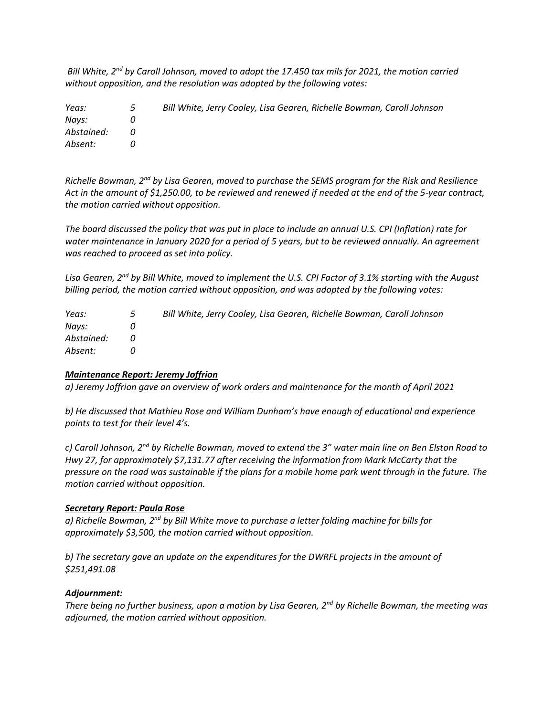*Bill White, 2nd by Caroll Johnson, moved to adopt the 17.450 tax mils for 2021, the motion carried without opposition, and the resolution was adopted by the following votes:*

| Yeas:      | $\mathbf{5}$ | Bill White, Jerry Cooley, Lisa Gearen, Richelle Bowman, Caroll Johnson |
|------------|--------------|------------------------------------------------------------------------|
| Navs:      |              |                                                                        |
| Abstained: |              |                                                                        |
| Absent:    |              |                                                                        |

*Richelle Bowman, 2nd by Lisa Gearen, moved to purchase the SEMS program for the Risk and Resilience Act in the amount of \$1,250.00, to be reviewed and renewed if needed at the end of the 5-year contract, the motion carried without opposition.*

*The board discussed the policy that was put in place to include an annual U.S. CPI (Inflation) rate for water maintenance in January 2020 for a period of 5 years, but to be reviewed annually. An agreement was reached to proceed as set into policy.*

*Lisa Gearen, 2nd by Bill White, moved to implement the U.S. CPI Factor of 3.1% starting with the August billing period, the motion carried without opposition, and was adopted by the following votes:*

| Yeas:      | $\overline{\mathbf{5}}$ | Bill White, Jerry Cooley, Lisa Gearen, Richelle Bowman, Caroll Johnson |
|------------|-------------------------|------------------------------------------------------------------------|
| Navs:      |                         |                                                                        |
| Abstained: |                         |                                                                        |
| Absent:    |                         |                                                                        |

### *Maintenance Report: Jeremy Joffrion*

*a) Jeremy Joffrion gave an overview of work orders and maintenance for the month of April 2021*

*b) He discussed that Mathieu Rose and William Dunham's have enough of educational and experience points to test for their level 4's.*

*c) Caroll Johnson, 2nd by Richelle Bowman, moved to extend the 3" water main line on Ben Elston Road to Hwy 27, for approximately \$7,131.77 after receiving the information from Mark McCarty that the pressure on the road was sustainable if the plans for a mobile home park went through in the future. The motion carried without opposition.*

#### *Secretary Report: Paula Rose*

*a) Richelle Bowman, 2nd by Bill White move to purchase a letter folding machine for bills for approximately \$3,500, the motion carried without opposition.*

*b) The secretary gave an update on the expenditures for the DWRFL projects in the amount of \$251,491.08*

### *Adjournment:*

*There being no further business, upon a motion by Lisa Gearen, 2nd by Richelle Bowman, the meeting was adjourned, the motion carried without opposition.*